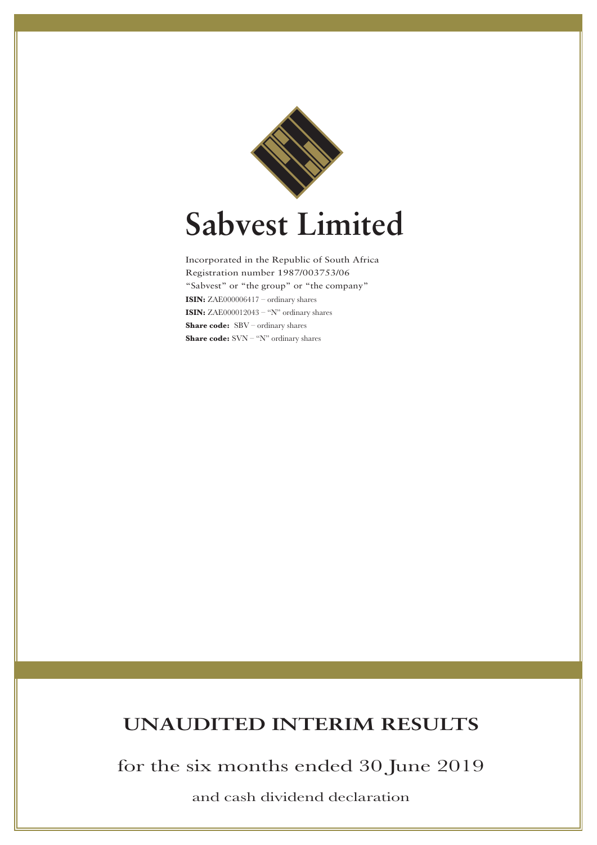

Incorporated in the Republic of South Africa Registration number 1987/003753/06 "Sabvest" or "the group" or "the company" **ISIN:** ZAE000006417 – ordinary shares **ISIN:** ZAE000012043 – "N" ordinary shares **Share code:** SBV – ordinary shares **Share code:** SVN – "N" ordinary shares

# **UNAUDITED INTERIM RESULTS**

for the six months ended 30 June 2019

and cash dividend declaration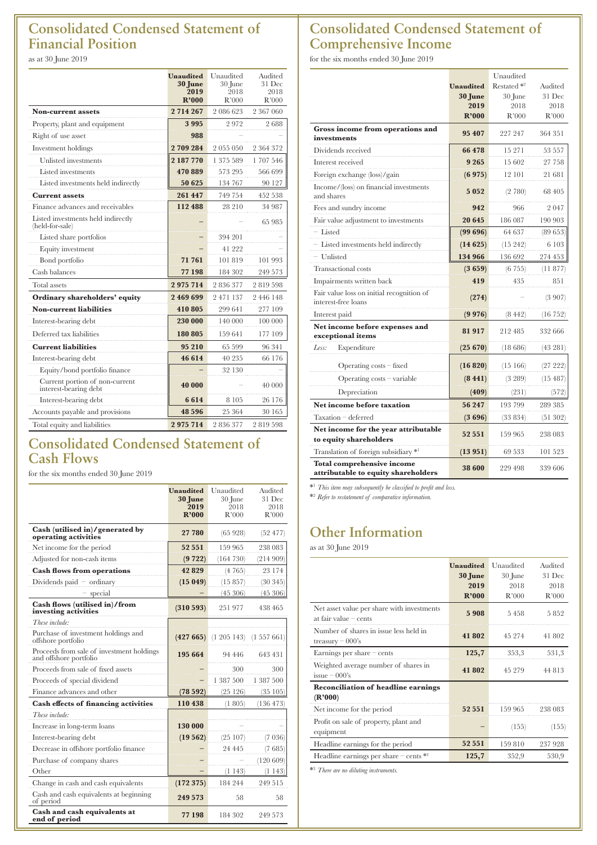## **Consolidated Condensed Statement of Financial Position**

as at 30 June 2019

|                                                         | <b>Unaudited</b><br>30 June<br>2019<br>R'000 | Unaudited<br>30 June<br>2018<br>R'000 | Audited<br>31 Dec<br>2018<br>R'000 |
|---------------------------------------------------------|----------------------------------------------|---------------------------------------|------------------------------------|
| <b>Non-current assets</b>                               | 2714267                                      | 2 086 623                             | 2 367 060                          |
| Property, plant and equipment                           | 3995                                         | 2972                                  | 2688                               |
| Right of use asset                                      | 988                                          |                                       |                                    |
| Investment holdings                                     | 2709284                                      | 2 055 050                             | 2 364 372                          |
| Unlisted investments                                    | 2 187 770                                    | 1 375 589                             | 1707546                            |
| Listed investments                                      | 470889                                       | 573 295                               | 566 699                            |
| Listed investments held indirectly                      | 50 625                                       | 134 767                               | 90 127                             |
| <b>Current assets</b>                                   | 261 447                                      | 749 754                               | 452 538                            |
| Finance advances and receivables                        | 112 488                                      | 28 210                                | 34 987                             |
| Listed investments held indirectly<br>(held-for-sale)   |                                              |                                       | 65 985                             |
| Listed share portfolios                                 |                                              | 394 201                               |                                    |
| Equity investment                                       |                                              | 41 222                                |                                    |
| Bond portfolio                                          | 71 761                                       | 101819                                | 101 993                            |
| Cash balances                                           | 77 198                                       | 184 302                               | 249 573                            |
| <b>Total</b> assets                                     | 2975714                                      | 2836377                               | 2819598                            |
| Ordinary shareholders' equity                           | 2 469 699                                    | 2 471 137                             | 2 446 148                          |
| <b>Non-current liabilities</b>                          | 410 805                                      | 299 641                               | 277 109                            |
| Interest-bearing debt                                   | 230 000                                      | 140 000                               | 100 000                            |
| Deferred tax liabilities                                | 180 805                                      | 159 641                               | 177 109                            |
| <b>Current liabilities</b>                              | 95 210                                       | 65 599                                | 96 341                             |
| Interest-bearing debt                                   | 46 614                                       | 40 235                                | 66 176                             |
| Equity/bond portfolio finance                           |                                              | 32 130                                |                                    |
| Current portion of non-current<br>interest-bearing debt | 40 000                                       |                                       | 40 000                             |
| Interest-bearing debt                                   | 6614                                         | 8 1 0 5                               | 26 176                             |
| Accounts payable and provisions                         | 48 5 9 6                                     | 25 364                                | 30 165                             |
| Total equity and liabilities                            | 2975714                                      | 2836377                               | 2819598                            |

### **Consolidated Condensed Statement of Cash Flows**

for the six months ended 30 June 2019

|                                                                     | <b>Unaudited</b><br>30 June<br>2019<br>R'000 | Unaudited<br>30 June<br>2018<br>R'000 | Audited<br>31 Dec<br>2018<br>R'000 |
|---------------------------------------------------------------------|----------------------------------------------|---------------------------------------|------------------------------------|
| Cash (utilised in)/generated by<br>operating activities             | 27 780                                       | (65928)                               | (52 477)                           |
| Net income for the period                                           | 52 551                                       | 159 965                               | 238 083                            |
| Adjusted for non-cash items                                         | (9722)                                       | (164 730)                             | (214909)                           |
| <b>Cash flows from operations</b>                                   | 42829                                        | (4765)                                | 23 174                             |
| Dividends paid $-$ ordinary                                         | (15049)                                      | (15857)                               | (30345)                            |
| - special                                                           |                                              | (45306)                               | (45306)                            |
| Cash flows (utilised in)/from<br>investing activities               | (310 593)                                    | 251977                                | 438 465                            |
| These include:                                                      |                                              |                                       |                                    |
| Purchase of investment holdings and<br>offshore portfolio           | (427665)                                     | $(1\ 205\ 143)$ $(1\ 557\ 661)$       |                                    |
| Proceeds from sale of investment holdings<br>and offshore portfolio | 195 664                                      | 94 446                                | 643 431                            |
| Proceeds from sale of fixed assets                                  |                                              | 300                                   | 300                                |
| Proceeds of special dividend                                        |                                              | 1 387 500                             | 1 387 500                          |
| Finance advances and other                                          | (78592)                                      | (25126)                               | (35105)                            |
| Cash effects of financing activities                                | 110 438                                      | (1805)                                | (136, 473)                         |
| These include:                                                      |                                              |                                       |                                    |
| Increase in long-term loans                                         | 130 000                                      |                                       |                                    |
| Interest-bearing debt                                               | (19562)                                      | (25107)                               | (7 036)                            |
| Decrease in offshore portfolio finance                              |                                              | 24 4 4 5                              | (7685)                             |
| Purchase of company shares                                          |                                              |                                       | $(120\ 609)$                       |
| Other                                                               |                                              | (1 143)                               | (1143)                             |
| Change in cash and cash equivalents                                 | (172375)                                     | 184 244                               | 249 515                            |
| Cash and cash equivalents at beginning<br>of period                 | 249 573                                      | 58                                    | 58                                 |
| Cash and cash equivalents at<br>end of period                       | 77 198                                       | 184 302                               | 249 573                            |

## **Consolidated Condensed Statement of Comprehensive Income**

for the six months ended 30 June 2019

|                                                                          |                  | Unaudited              |          |
|--------------------------------------------------------------------------|------------------|------------------------|----------|
|                                                                          | <b>Unaudited</b> | Restated <sup>*2</sup> | Audited  |
|                                                                          | <b>30 June</b>   | 30 June                | 31 Dec   |
|                                                                          | 2019             | 2018                   | 2018     |
|                                                                          | R'000            | R'000                  | R'000    |
| Gross income from operations and<br>investments                          | 95 407           | 227 247                | 364 351  |
| Dividends received                                                       | 66 478           | 15 271                 | 53 557   |
| Interest received                                                        | 9 2 6 5          | 15 602                 | 27 758   |
| Foreign exchange (loss)/gain                                             | (6975)           | 12 101                 | 21 681   |
| Income/(loss) on financial investments<br>and shares                     | 5052             | (2780)                 | 68 405   |
| Fees and sundry income                                                   | 942              | 966                    | 2047     |
| Fair value adjustment to investments                                     | 20 645           | 186 087                | 190 903  |
| - Listed                                                                 | (99696)          | 64 637                 | (89653)  |
| - Listed investments held indirectly                                     | (14625)          | (15 242)               | 6 103    |
| - Unlisted                                                               | 134 966          | 136 692                | 274 453  |
| <b>Transactional costs</b>                                               | (3659)           | (6755)                 | (11877)  |
| Impairments written back                                                 | 419              | 435                    | 851      |
| Fair value loss on initial recognition of<br>interest-free loans         | (274)            |                        | (3907)   |
| Interest paid                                                            | (9976)           | (8442)                 | (16 752) |
| Net income before expenses and<br>exceptional items                      | 81 917           | 212 485                | 332 666  |
| Less:<br>Expenditure                                                     | $(25\;670)$      | (18 686)               | (43 281) |
| Operating $costs - fixed$                                                | (16820)          | (15166)                | (27 222) |
| Operating $costs - variable$                                             | (841)            | (3 289)                | (15 487) |
| Depreciation                                                             | (409)            | (231)                  | (572)    |
| Net income before taxation                                               | 56 247           | 193799                 | 289 385  |
| Taxation - deferred                                                      | (3696)           | (33 834)               | (51302)  |
| Net income for the year attributable<br>to equity shareholders           | 52 551           | 159 965                | 238 083  |
| Translation of foreign subsidiary *1                                     | (13 951)         | 69 533                 | 101 523  |
| <b>Total comprehensive income</b><br>attributable to equity shareholders | 38 600           | 229 498                | 339 606  |

\*1 *This item may subsequently be classified to profit and loss.*

\*2 *Refer to restatement of comparative information.*

# **Other Information**

as at 30 June 2019

|                                                                          | <b>Unaudited</b><br>30 June<br>2019<br>R'000 | Unaudited<br>30 June<br>2018<br>R'000 | Audited<br>31 Dec<br>2018<br>R'000 |
|--------------------------------------------------------------------------|----------------------------------------------|---------------------------------------|------------------------------------|
| Net asset value per share with investments<br>at fair value $-$ cents    | 5908                                         | 5458                                  | 5852                               |
| Number of shares in issue less held in<br>treasury $-000$ 's             | 41802                                        | 45 274                                | 41 802                             |
| Earnings per share $-\text{cents}$                                       | 125,7                                        | 353,3                                 | 531,3                              |
| Weighted average number of shares in<br>$isue = 000's$                   | 41802                                        | 45 279                                | 44 813                             |
| <b>Reconciliation of headline earnings</b><br>$(\mathbf{R}^{\prime}000)$ |                                              |                                       |                                    |
| Net income for the period                                                | 52 551                                       | 159 965                               | 238 083                            |
| Profit on sale of property, plant and<br>equipment                       |                                              | (155)                                 | (155)                              |
| Headline earnings for the period                                         | 52 551                                       | 159 810                               | 237 928                            |
| Headline earnings per share $-\text{ cents}$ $*$ <sup>3</sup>            | 125,7                                        | 352,9                                 | 530,9                              |

\*3 *There are no diluting instruments.*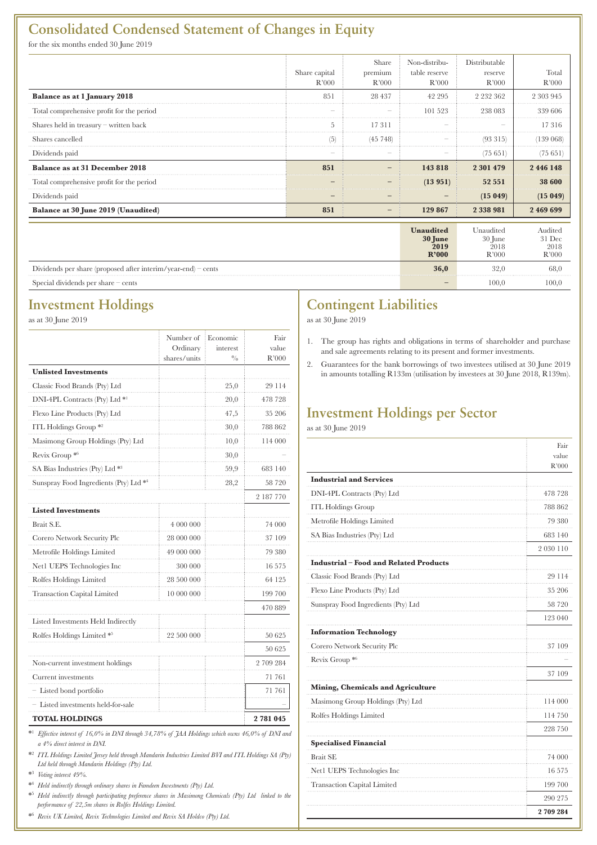### **Consolidated Condensed Statement of Changes in Equity**

for the six months ended 30 June 2019

|                                                               | Share capital<br>R'000 | Share<br>premium<br>R'000 | Non-distribu-<br>table reserve<br>R'000 | Distributable<br>reserve<br>R'000       | Total<br>R'000                       |
|---------------------------------------------------------------|------------------------|---------------------------|-----------------------------------------|-----------------------------------------|--------------------------------------|
| Balance as at 1 January 2018                                  | 851                    | 28 437                    | 42 295                                  | 2 2 3 2 3 6 2                           | 2 303 945                            |
| Total comprehensive profit for the period                     |                        |                           | 101 523                                 | 238 083                                 | 339 606                              |
| Shares held in treasury - written back                        | 5                      | 17311                     |                                         |                                         | 17316                                |
| Shares cancelled                                              | (၁)                    | (45 748)                  |                                         | (93 315)                                | 139 068)                             |
| Dividends paid                                                | -                      |                           |                                         | (75651)                                 | (75651)                              |
| Balance as at 31 December 2018                                | 851                    |                           | 143 818                                 | 2 301 479                               | 2 446 148                            |
| Total comprehensive profit for the period                     |                        |                           | (13951)                                 | 52 551                                  | 38 600                               |
| Dividends paid                                                |                        |                           |                                         | (15049)                                 | (15049)                              |
| Balance at 30 June 2019 (Unaudited)                           | 851                    |                           | 129 867                                 | 2 3 3 8 9 8 1                           | 2 469 699                            |
|                                                               |                        |                           | Unaudited<br>30 June<br>2019<br>R'000   | Unaudited<br>$30$ June<br>2018<br>R'000 | Audited<br>$31$ Dec<br>2018<br>R'000 |
| Dividends per share (proposed after interim/year-end) – cents |                        |                           | 36,0                                    | 32,0                                    | 68,0                                 |

Special dividends per share – cents **100,0** 100,0 100,0 100,0

### **Investment Holdings**

as at 30 June 2019

|                                           | Number of<br>Ordinary | Economic<br>interest | Fair<br>value |
|-------------------------------------------|-----------------------|----------------------|---------------|
|                                           | shares/units          | $^{0/0}$             | R'000         |
| <b>Unlisted Investments</b>               |                       |                      |               |
| Classic Food Brands (Pty) Ltd             |                       | 25,0                 | 29 114        |
| DNI-4PL Contracts (Pty) Ltd <sup>*1</sup> |                       | 20,0                 | 478 728       |
| Flexo Line Products (Pty) Ltd             |                       | 47,5                 | 35 206        |
| ITL Holdings Group <sup>*2</sup>          |                       | 30,0                 | 788 862       |
| Masimong Group Holdings (Pty) Ltd         |                       | 10,0                 | 114 000       |
| Revix Group *6                            |                       | 30,0                 |               |
| SA Bias Industries (Pty) Ltd *3           |                       | 59,9                 | 683 140       |
| Sunspray Food Ingredients (Pty) Ltd *4    |                       | 28,2                 | 58 720        |
|                                           |                       |                      | 2 187 770     |
| <b>Listed Investments</b>                 |                       |                      |               |
| Brait S.E.                                | 4 000 000             |                      | 74 000        |
| Corero Network Security Plc               | 28 000 000            |                      | 37 109        |
| Metrofile Holdings Limited                | 49 000 000            |                      | 79 380        |
| Net1 UEPS Technologies Inc                | 300 000               |                      | 16 575        |
| Rolfes Holdings Limited                   | 28 500 000            |                      | 64 125        |
| <b>Transaction Capital Limited</b>        | 10 000 000            |                      | 199 700       |
|                                           |                       |                      | 470 889       |
| Listed Investments Held Indirectly        |                       |                      |               |
| Rolfes Holdings Limited *5                | 22 500 000            |                      | 50 625        |
|                                           |                       |                      | 50 625        |
| Non-current investment holdings           |                       |                      | 2 709 284     |
| Current investments                       |                       |                      | 71 761        |
| - Listed bond portfolio                   |                       |                      | 71 761        |
| Listed investments held-for-sale          |                       |                      |               |
| <b>TOTAL HOLDINGS</b>                     |                       |                      | 2781045       |

\*1 *Effective interest of 16,0% in DNI through 34,78% of JAA Holdings which owns 46,0% of DNI and a 4% direct interest in DNI.*

\*2  *ITL Holdings Limited Jersey held through Mandarin Industries Limited BVI and ITL Holdings SA (Pty) Ltd held through Mandarin Holdings (Pty) Ltd.*

\*3  *Voting interest 49%.*

\*4  *Held indirectly through ordinary shares in Famdeen Investments (Pty) Ltd.*

\*5  *Held indirectly through participating preference shares in Masimong Chemicals (Pty) Ltd linked to the performance of 22,5m shares in Rolfes Holdings Limited.*

\*6  *Revix UK Limited, Revix Technologies Limited and Revix SA Holdco (Pty) Ltd.* 

## **Contingent Liabilities**

as at 30 June 2019

- 1. The group has rights and obligations in terms of shareholder and purchase and sale agreements relating to its present and former investments.
- 2. Guarantees for the bank borrowings of two investees utilised at 30 June 2019 in amounts totalling R133m (utilisation by investees at 30 June 2018, R139m).

### **Investment Holdings per Sector**

as at 30 June 2019

|                                             | Fair<br>value |
|---------------------------------------------|---------------|
|                                             | R'000         |
| <b>Industrial and Services</b>              |               |
| DNI-4PL Contracts (Pty) Ltd                 | 478 728       |
| <b>ITL Holdings Group</b>                   | 788 862       |
| Metrofile Holdings Limited                  | 79 380        |
| SA Bias Industries (Pty) Ltd                | 683 140       |
|                                             | 2 030 110     |
| <b>Industrial-Food and Related Products</b> |               |
| Classic Food Brands (Pty) Ltd               | 29 114        |
| Flexo Line Products (Pty) Ltd               | 35 206        |
| Sunspray Food Ingredients (Pty) Ltd         | 58 720        |
|                                             | 123 040       |
| <b>Information Technology</b>               |               |
| Corero Network Security Plc                 | 37 109        |
| Revix Group *6                              |               |
|                                             | 37 109        |
| Mining, Chemicals and Agriculture           |               |
| Masimong Group Holdings (Pty) Ltd           | 114 000       |
| Rolfes Holdings Limited                     | 114 750       |
|                                             | 228 750       |
| <b>Specialised Financial</b>                |               |
| <b>Brait SE</b>                             | 74 000        |
| Net1 UEPS Technologies Inc                  | 16 575        |
| <b>Transaction Capital Limited</b>          | 199 700       |
|                                             | 290 275       |
|                                             | 2709284       |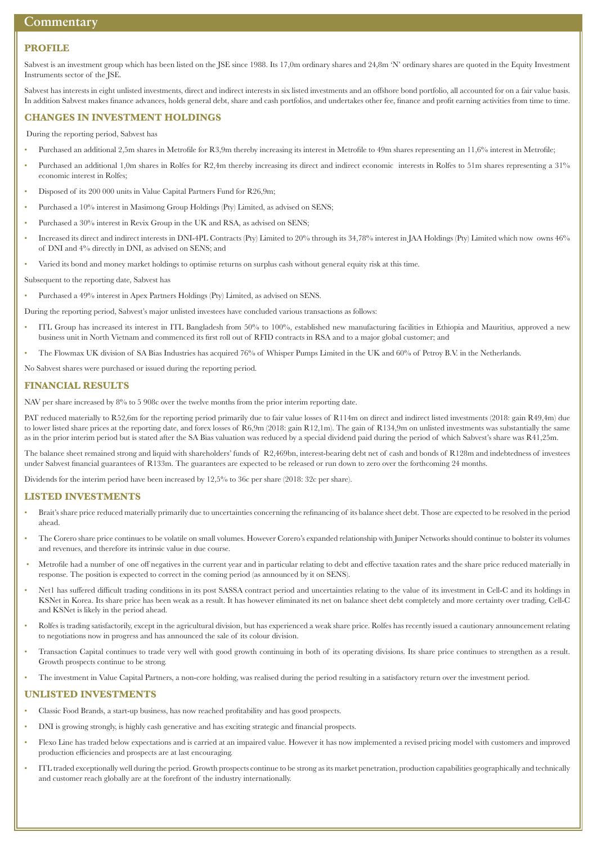### **Commentary**

#### **PROFILE**

Sabvest is an investment group which has been listed on the JSE since 1988. Its 17,0m ordinary shares and 24,8m 'N' ordinary shares are quoted in the Equity Investment Instruments sector of the JSE.

Sabvest has interests in eight unlisted investments, direct and indirect interests in six listed investments and an offshore bond portfolio, all accounted for on a fair value basis. In addition Sabvest makes finance advances, holds general debt, share and cash portfolios, and undertakes other fee, finance and profit earning activities from time to time.

#### **CHANGES IN INVESTMENT HOLDINGS**

During the reporting period, Sabvest has

- Purchased an additional 2,5m shares in Metrofile for R3,9m thereby increasing its interest in Metrofile to 49m shares representing an 11,6% interest in Metrofile;
- Purchased an additional 1,0m shares in Rolfes for R2,4m thereby increasing its direct and indirect economic interests in Rolfes to 51m shares representing a 31% economic interest in Rolfes;
- Disposed of its 200 000 units in Value Capital Partners Fund for R26,9m;
- Purchased a 10% interest in Masimong Group Holdings (Pty) Limited, as advised on SENS;
- Purchased a 30% interest in Revix Group in the UK and RSA, as advised on SENS;
- Increased its direct and indirect interests in DNI-4PL Contracts (Pty) Limited to 20% through its 34,78% interest in JAA Holdings (Pty) Limited which now owns 46% of DNI and 4% directly in DNI, as advised on SENS; and
- Varied its bond and money market holdings to optimise returns on surplus cash without general equity risk at this time.
- Subsequent to the reporting date, Sabvest has

• Purchased a 49% interest in Apex Partners Holdings (Pty) Limited, as advised on SENS.

During the reporting period, Sabvest's major unlisted investees have concluded various transactions as follows:

- ITL Group has increased its interest in ITL Bangladesh from 50% to 100%, established new manufacturing facilities in Ethiopia and Mauritius, approved a new business unit in North Vietnam and commenced its first roll out of RFID contracts in RSA and to a major global customer; and
- The Flowmax UK division of SA Bias Industries has acquired 76% of Whisper Pumps Limited in the UK and 60% of Petroy B.V. in the Netherlands.
- No Sabvest shares were purchased or issued during the reporting period.

#### **FINANCIAL RESULTS**

NAV per share increased by 8% to 5 908c over the twelve months from the prior interim reporting date.

PAT reduced materially to R52,6m for the reporting period primarily due to fair value losses of R114m on direct and indirect listed investments (2018: gain R49,4m) due to lower listed share prices at the reporting date, and forex losses of R6,9m (2018: gain R12,1m). The gain of R134,9m on unlisted investments was substantially the same as in the prior interim period but is stated after the SA Bias valuation was reduced by a special dividend paid during the period of which Sabvest's share was R41,25m.

The balance sheet remained strong and liquid with shareholders' funds of R2,469bn, interest-bearing debt net of cash and bonds of R128m and indebtedness of investees under Sabvest financial guarantees of R133m. The guarantees are expected to be released or run down to zero over the forthcoming 24 months.

Dividends for the interim period have been increased by 12,5% to 36c per share (2018: 32c per share).

#### **LISTED INVESTMENTS**

- Brait's share price reduced materially primarily due to uncertainties concerning the refinancing of its balance sheet debt. Those are expected to be resolved in the period ahead.
- The Corero share price continues to be volatile on small volumes. However Corero's expanded relationship with Juniper Networks should continue to bolster its volumes and revenues, and therefore its intrinsic value in due course.
- Metrofile had a number of one off negatives in the current year and in particular relating to debt and effective taxation rates and the share price reduced materially in response. The position is expected to correct in the coming period (as announced by it on SENS).
- Net1 has suffered difficult trading conditions in its post SASSA contract period and uncertainties relating to the value of its investment in Cell-C and its holdings in KSNet in Korea. Its share price has been weak as a result. It has however eliminated its net on balance sheet debt completely and more certainty over trading, Cell-C and KSNet is likely in the period ahead.
- Rolfes is trading satisfactorily, except in the agricultural division, but has experienced a weak share price. Rolfes has recently issued a cautionary announcement relating to negotiations now in progress and has announced the sale of its colour division.
- Transaction Capital continues to trade very well with good growth continuing in both of its operating divisions. Its share price continues to strengthen as a result. Growth prospects continue to be strong.
- The investment in Value Capital Partners, a non-core holding, was realised during the period resulting in a satisfactory return over the investment period.

#### **UNLISTED INVESTMENTS**

- Classic Food Brands, a start-up business, has now reached profitability and has good prospects.
- DNI is growing strongly, is highly cash generative and has exciting strategic and financial prospects.
- Flexo Line has traded below expectations and is carried at an impaired value. However it has now implemented a revised pricing model with customers and improved production efficiencies and prospects are at last encouraging.
- ITL traded exceptionally well during the period. Growth prospects continue to be strong as its market penetration, production capabilities geographically and technically and customer reach globally are at the forefront of the industry internationally.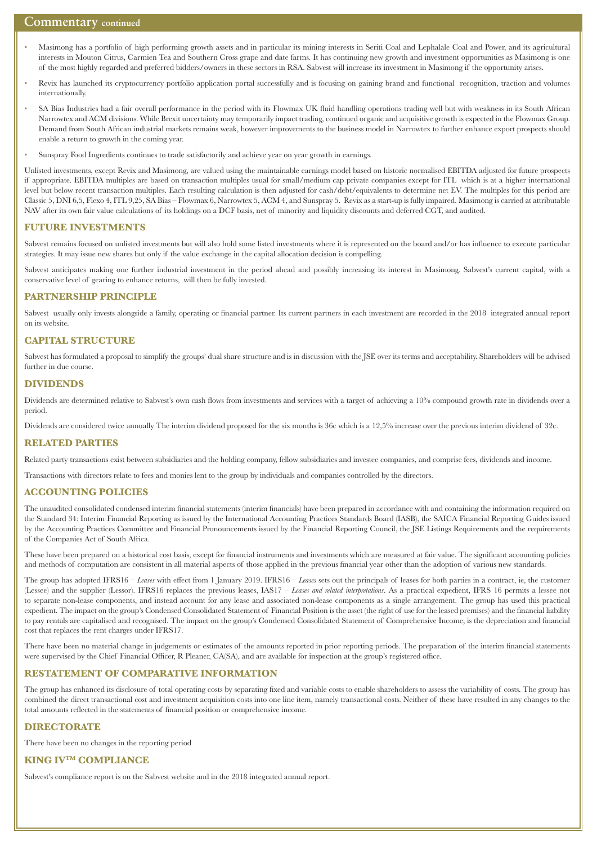#### **Commentary continued**

- Masimong has a portfolio of high performing growth assets and in particular its mining interests in Seriti Coal and Lephalale Coal and Power, and its agricultural interests in Mouton Citrus, Carmien Tea and Southern Cross grape and date farms. It has continuing new growth and investment opportunities as Masimong is one of the most highly regarded and preferred bidders/owners in these sectors in RSA. Sabvest will increase its investment in Masimong if the opportunity arises.
- Revix has launched its cryptocurrency portfolio application portal successfully and is focusing on gaining brand and functional recognition, traction and volumes internationally.
- SA Bias Industries had a fair overall performance in the period with its Flowmax UK fluid handling operations trading well but with weakness in its South African Narrowtex and ACM divisions. While Brexit uncertainty may temporarily impact trading, continued organic and acquisitive growth is expected in the Flowmax Group. Demand from South African industrial markets remains weak, however improvements to the business model in Narrowtex to further enhance export prospects should enable a return to growth in the coming year.
- Sunspray Food Ingredients continues to trade satisfactorily and achieve year on year growth in earnings.

Unlisted investments, except Revix and Masimong, are valued using the maintainable earnings model based on historic normalised EBITDA adjusted for future prospects if appropriate. EBITDA multiples are based on transaction multiples usual for small/medium cap private companies except for ITL which is at a higher international level but below recent transaction multiples. Each resulting calculation is then adjusted for cash/debt/equivalents to determine net EV. The multiples for this period are Classic 5, DNI 6,5, Flexo 4, ITL 9,25, SA Bias – Flowmax 6, Narrowtex 5, ACM 4, and Sunspray 5. Revix as a start-up is fully impaired. Masimong is carried at attributable NAV after its own fair value calculations of its holdings on a DCF basis, net of minority and liquidity discounts and deferred CGT, and audited.

#### **FUTURE INVESTMENTS**

Sabvest remains focused on unlisted investments but will also hold some listed investments where it is represented on the board and/or has influence to execute particular strategies. It may issue new shares but only if the value exchange in the capital allocation decision is compelling.

Sabvest anticipates making one further industrial investment in the period ahead and possibly increasing its interest in Masimong. Sabvest's current capital, with a conservative level of gearing to enhance returns, will then be fully invested.

#### **PARTNERSHIP PRINCIPLE**

Sabvest usually only invests alongside a family, operating or financial partner. Its current partners in each investment are recorded in the 2018 integrated annual report on its website.

#### **CAPITAL STRUCTURE**

Sabvest has formulated a proposal to simplify the groups' dual share structure and is in discussion with the JSE over its terms and acceptability. Shareholders will be advised further in due course.

#### **DIVIDENDS**

Dividends are determined relative to Sabvest's own cash flows from investments and services with a target of achieving a 10% compound growth rate in dividends over a period.

Dividends are considered twice annually The interim dividend proposed for the six months is 36c which is a 12,5% increase over the previous interim dividend of 32c.

#### **RELATED PARTIES**

Related party transactions exist between subsidiaries and the holding company, fellow subsidiaries and investee companies, and comprise fees, dividends and income.

Transactions with directors relate to fees and monies lent to the group by individuals and companies controlled by the directors.

#### **ACCOUNTING POLICIES**

The unaudited consolidated condensed interim financial statements (interim financials) have been prepared in accordance with and containing the information required on the Standard 34: Interim Financial Reporting as issued by the International Accounting Practices Standards Board (IASB), the SAICA Financial Reporting Guides issued by the Accounting Practices Committee and Financial Pronouncements issued by the Financial Reporting Council, the JSE Listings Requirements and the requirements of the Companies Act of South Africa.

These have been prepared on a historical cost basis, except for financial instruments and investments which are measured at fair value. The significant accounting policies and methods of computation are consistent in all material aspects of those applied in the previous financial year other than the adoption of various new standards.

The group has adopted IFRS16 – *Leases* with effect from 1 January 2019. IFRS16 – *Leases* sets out the principals of leases for both parties in a contract, ie, the customer (Lessee) and the supplier (Lessor). IFRS16 replaces the previous leases, IAS17 – *Leases and related interpretations*. As a practical expedient, IFRS 16 permits a lessee not to separate non-lease components, and instead account for any lease and associated non-lease components as a single arrangement. The group has used this practical expedient. The impact on the group's Condensed Consolidated Statement of Financial Position is the asset (the right of use for the leased premises) and the financial liability to pay rentals are capitalised and recognised. The impact on the group's Condensed Consolidated Statement of Comprehensive Income, is the depreciation and financial cost that replaces the rent charges under IFRS17.

There have been no material change in judgements or estimates of the amounts reported in prior reporting periods. The preparation of the interim financial statements were supervised by the Chief Financial Officer, R Pleaner, CA(SA), and are available for inspection at the group's registered office.

#### **RESTATEMENT OF COMPARATIVE INFORMATION**

The group has enhanced its disclosure of total operating costs by separating fixed and variable costs to enable shareholders to assess the variability of costs. The group has combined the direct transactional cost and investment acquisition costs into one line item, namely transactional costs. Neither of these have resulted in any changes to the total amounts reflected in the statements of financial position or comprehensive income.

#### **DIRECTORATE**

There have been no changes in the reporting period

#### **KING IVTM COMPLIANCE**

Sabvest's compliance report is on the Sabvest website and in the 2018 integrated annual report.